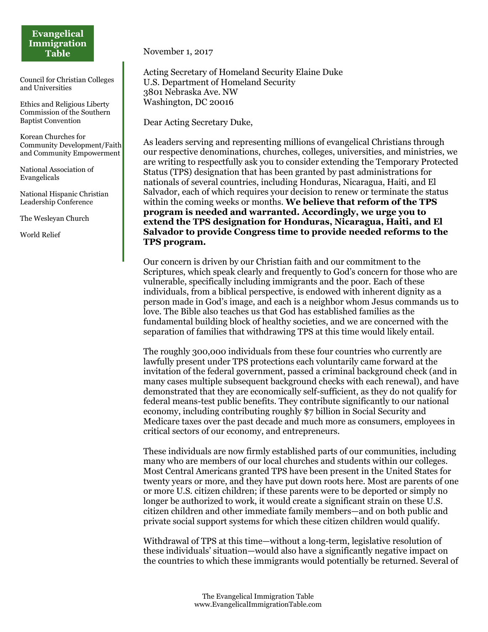## **Evangelical Immigration Table**

Council for Christian Colleges and Universities

Ethics and Religious Liberty Commission of the Southern Baptist Convention

Korean Churches for Community Development/Faith and Community Empowerment

National Association of Evangelicals

National Hispanic Christian Leadership Conference

The Wesleyan Church

World Relief

November 1, 2017

Acting Secretary of Homeland Security Elaine Duke U.S. Department of Homeland Security 3801 Nebraska Ave. NW Washington, DC 20016

Dear Acting Secretary Duke,

As leaders serving and representing millions of evangelical Christians through our respective denominations, churches, colleges, universities, and ministries, we are writing to respectfully ask you to consider extending the Temporary Protected Status (TPS) designation that has been granted by past administrations for nationals of several countries, including Honduras, Nicaragua, Haiti, and El Salvador, each of which requires your decision to renew or terminate the status within the coming weeks or months. **We believe that reform of the TPS program is needed and warranted. Accordingly, we urge you to extend the TPS designation for Honduras, Nicaragua, Haiti, and El Salvador to provide Congress time to provide needed reforms to the TPS program.**

Our concern is driven by our Christian faith and our commitment to the Scriptures, which speak clearly and frequently to God's concern for those who are vulnerable, specifically including immigrants and the poor. Each of these individuals, from a biblical perspective, is endowed with inherent dignity as a person made in God's image, and each is a neighbor whom Jesus commands us to love. The Bible also teaches us that God has established families as the fundamental building block of healthy societies, and we are concerned with the separation of families that withdrawing TPS at this time would likely entail.

The roughly 300,000 individuals from these four countries who currently are lawfully present under TPS protections each voluntarily came forward at the invitation of the federal government, passed a criminal background check (and in many cases multiple subsequent background checks with each renewal), and have demonstrated that they are economically self-sufficient, as they do not qualify for federal means-test public benefits. They contribute significantly to our national economy, including contributing roughly \$7 billion in Social Security and Medicare taxes over the past decade and much more as consumers, employees in critical sectors of our economy, and entrepreneurs.

These individuals are now firmly established parts of our communities, including many who are members of our local churches and students within our colleges. Most Central Americans granted TPS have been present in the United States for twenty years or more, and they have put down roots here. Most are parents of one or more U.S. citizen children; if these parents were to be deported or simply no longer be authorized to work, it would create a significant strain on these U.S. citizen children and other immediate family members—and on both public and private social support systems for which these citizen children would qualify.

Withdrawal of TPS at this time—without a long-term, legislative resolution of these individuals' situation—would also have a significantly negative impact on the countries to which these immigrants would potentially be returned. Several of